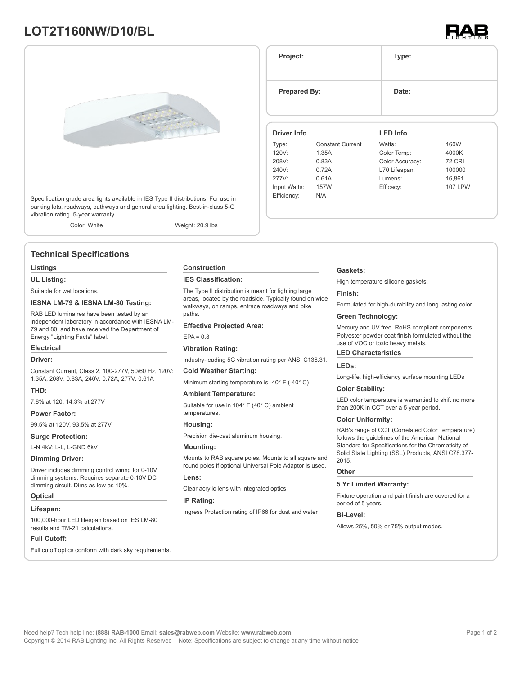## **LOT2T160NW/D10/BL**





Specification grade area lights available in IES Type II distributions. For use in parking lots, roadways, pathways and general area lighting. Best-in-class 5-G vibration rating. 5-year warranty.

Color: White Weight: 20.9 lbs

### **Technical Specifications**

#### **Listings**

**UL Listing:**

Suitable for wet locations.

#### **IESNA LM-79 & IESNA LM-80 Testing:**

RAB LED luminaires have been tested by an independent laboratory in accordance with IESNA LM-79 and 80, and have received the Department of Energy "Lighting Facts" label.

## **Electrical**

**Driver:**

Constant Current, Class 2, 100-277V, 50/60 Hz, 120V: 1.35A, 208V: 0.83A, 240V: 0.72A, 277V: 0.61A

#### **THD:**

7.8% at 120, 14.3% at 277V

#### **Power Factor:**

99.5% at 120V, 93.5% at 277V

#### **Surge Protection:**

L-N 4kV; L-L, L-GND 6kV

#### **Dimming Driver:**

Driver includes dimming control wiring for 0-10V dimming systems. Requires separate 0-10V DC dimming circuit. Dims as low as 10%.

#### **Optical**

#### **Lifespan:**

100,000-hour LED lifespan based on IES LM-80 results and TM-21 calculations.

#### **Full Cutoff:**

Full cutoff optics conform with dark sky requirements.

#### **Construction**

#### **IES Classification:**

The Type II distribution is meant for lighting large areas, located by the roadside. Typically found on wide walkways, on ramps, entrace roadways and bike paths

#### **Effective Projected Area:**

#### $EPA = 0.8$

#### **Vibration Rating:**

Industry-leading 5G vibration rating per ANSI C136.31.

#### **Cold Weather Starting:**

Minimum starting temperature is -40° F (-40° C)

#### **Ambient Temperature:**

Suitable for use in 104° F (40° C) ambient temperatures.

## **Housing:**

Precision die-cast aluminum housing.

#### **Mounting:**

Mounts to RAB square poles. Mounts to all square and round poles if optional Universal Pole Adaptor is used.

### **Lens:**

Clear acrylic lens with integrated optics

#### **IP Rating:**

Ingress Protection rating of IP66 for dust and water

#### **Gaskets:**

**Project: Type:**

**Prepared By:** Date:

**Driver Info**

120V: 1.35A 208V: 0.83A 240V: 0.72A 277V: 0.61A Input Watts: 157W Efficiency: N/A

Type: Constant Current

High temperature silicone gaskets.

**LED Info**

Watts: 160W Color Temp: 4000K Color Accuracy: 72 CRI L70 Lifespan: 100000 Lumens: 16,861 Efficacy: 107 LPW

#### **Finish:**

Formulated for high-durability and long lasting color.

#### **Green Technology:**

Mercury and UV free. RoHS compliant components. Polyester powder coat finish formulated without the use of VOC or toxic heavy metals.

#### **LED Characteristics**

#### **LEDs:**

Long-life, high-efficiency surface mounting LEDs

#### **Color Stability:**

LED color temperature is warrantied to shift no more than 200K in CCT over a 5 year period.

#### **Color Uniformity:**

RAB's range of CCT (Correlated Color Temperature) follows the guidelines of the American National Standard for Specifications for the Chromaticity of Solid State Lighting (SSL) Products, ANSI C78.377- 2015.

#### **Other**

#### **5 Yr Limited Warranty:**

Fixture operation and paint finish are covered for a period of 5 years.

#### **Bi-Level:**

Allows 25%, 50% or 75% output modes.